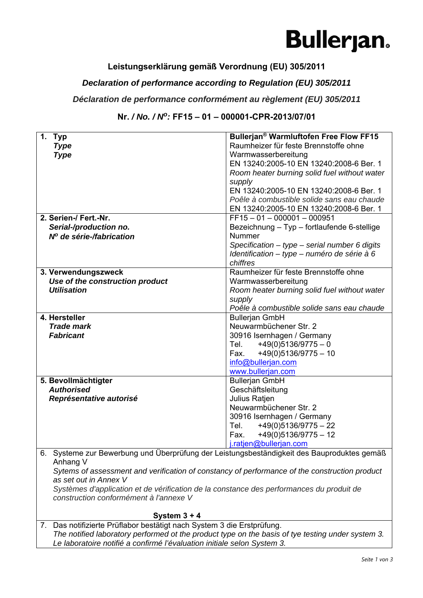### **Bullerjan.**

### **Leistungserklärung gemäß Verordnung (EU) 305/2011**

#### *Declaration of performance according to Regulation (EU) 305/2011*

#### *Déclaration de performance conformément au règlement (EU) 305/2011*

#### **Nr.** */ No. / No:* **FF15 – 01 – 000001-CPR-2013/07/01**

| 1. Typ                                                                                                                             | Bullerjan® Warmluftofen Free Flow FF15            |  |
|------------------------------------------------------------------------------------------------------------------------------------|---------------------------------------------------|--|
| <b>Type</b>                                                                                                                        | Raumheizer für feste Brennstoffe ohne             |  |
| <b>Type</b>                                                                                                                        | Warmwasserbereitung                               |  |
|                                                                                                                                    | EN 13240:2005-10 EN 13240:2008-6 Ber. 1           |  |
|                                                                                                                                    | Room heater burning solid fuel without water      |  |
|                                                                                                                                    | supply                                            |  |
|                                                                                                                                    | EN 13240:2005-10 EN 13240:2008-6 Ber. 1           |  |
|                                                                                                                                    | Poêle à combustible solide sans eau chaude        |  |
|                                                                                                                                    | EN 13240:2005-10 EN 13240:2008-6 Ber. 1           |  |
| 2. Serien-/ Fert.-Nr.                                                                                                              | $FF15 - 01 - 000001 - 000951$                     |  |
| Serial-/production no.                                                                                                             | Bezeichnung - Typ - fortlaufende 6-stellige       |  |
| Nº de série-/fabrication                                                                                                           | Nummer                                            |  |
|                                                                                                                                    | Specification $-$ type $-$ serial number 6 digits |  |
|                                                                                                                                    | Identification - type - numéro de série à 6       |  |
|                                                                                                                                    | chiffres                                          |  |
| 3. Verwendungszweck                                                                                                                | Raumheizer für feste Brennstoffe ohne             |  |
| Use of the construction product                                                                                                    | Warmwasserbereitung                               |  |
| <b>Utilisation</b>                                                                                                                 | Room heater burning solid fuel without water      |  |
|                                                                                                                                    | supply                                            |  |
|                                                                                                                                    | Poêle à combustible solide sans eau chaude        |  |
| 4. Hersteller                                                                                                                      | <b>Bullerjan GmbH</b>                             |  |
| <b>Trade mark</b>                                                                                                                  | Neuwarmbüchener Str. 2                            |  |
| <b>Fabricant</b>                                                                                                                   | 30916 Isernhagen / Germany                        |  |
|                                                                                                                                    | Tel. $+49(0)5136/9775-0$                          |  |
|                                                                                                                                    | Fax. $+49(0)5136/9775-10$                         |  |
|                                                                                                                                    | info@bullerjan.com                                |  |
|                                                                                                                                    | www.bullerjan.com                                 |  |
| 5. Bevollmächtigter                                                                                                                | <b>Bullerjan GmbH</b>                             |  |
| <b>Authorised</b>                                                                                                                  | Geschäftsleitung                                  |  |
| Représentative autorisé                                                                                                            | Julius Ratjen                                     |  |
|                                                                                                                                    | Neuwarmbüchener Str. 2                            |  |
|                                                                                                                                    | 30916 Isernhagen / Germany                        |  |
|                                                                                                                                    | $+49(0)5136/9775 - 22$<br>Tel.                    |  |
|                                                                                                                                    | $+49(0)5136/9775 - 12$<br>Fax.                    |  |
|                                                                                                                                    | j.ratjen@bullerjan.com                            |  |
| 6. Systeme zur Bewerbung und Überprüfung der Leistungsbeständigkeit des Bauproduktes gemäß                                         |                                                   |  |
| Anhang V<br>Sytems of assessment and verification of constancy of performance of the construction product                          |                                                   |  |
| as set out in Annex V                                                                                                              |                                                   |  |
|                                                                                                                                    |                                                   |  |
| Systèmes d'application et de vérification de la constance des performances du produit de<br>construction conformément à l'annexe V |                                                   |  |
|                                                                                                                                    |                                                   |  |
| System $3 + 4$                                                                                                                     |                                                   |  |
| Das notifizierte Prüflabor bestätigt nach System 3 die Erstprüfung<br>$\overline{7}$                                               |                                                   |  |

erte Prüflabor bestätigt nach System 3 die Erstprüfung. *The notified laboratory performed ot the product type on the basis of tye testing under system 3. Le laboratoire notifié a confirmé l'évaluation initiale selon System 3.*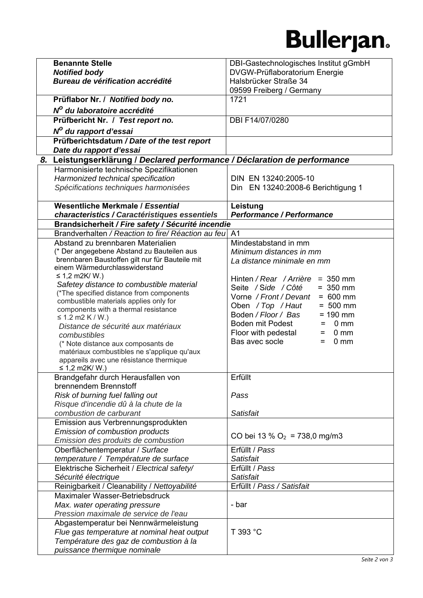## **Bullerjan.**

| <b>Benannte Stelle</b>                                                                 | DBI-Gastechnologisches Institut gGmbH        |
|----------------------------------------------------------------------------------------|----------------------------------------------|
| <b>Notified body</b>                                                                   | DVGW-Prüflaboratorium Energie                |
| Bureau de vérification accrédité                                                       | Halsbrücker Straße 34                        |
|                                                                                        | 09599 Freiberg / Germany                     |
| Prüflabor Nr. / Notified body no.                                                      | 1721                                         |
| Nº du laboratoire accrédité                                                            |                                              |
| Prüfbericht Nr. / Test report no.                                                      | DBI F14/07/0280                              |
|                                                                                        |                                              |
| N <sup>o</sup> du rapport d'essai                                                      |                                              |
| Prüfberichtsdatum / Date of the test report                                            |                                              |
| Date du rapport d'essai                                                                |                                              |
| 8. Leistungserklärung / Declared performance / Déclaration de performance              |                                              |
| Harmonisierte technische Spezifikationen                                               |                                              |
| Harmonized technical specification                                                     | DIN EN 13240:2005-10                         |
| Spécifications techniques harmonisées                                                  | Din EN 13240:2008-6 Berichtigung 1           |
| Wesentliche Merkmale / Essential                                                       |                                              |
| characteristics / Caractéristiques essentiels                                          | Leistung<br><b>Performance / Performance</b> |
| Brandsicherheit / Fire safety / Sécurité incendie                                      |                                              |
| Brandverhalten / Reaction to fire/ Réaction au feu A1                                  |                                              |
| Abstand zu brennbaren Materialien                                                      | Mindestabstand in mm                         |
| (* Der angegebene Abstand zu Bauteilen aus                                             | Minimum distances in mm                      |
| brennbaren Baustoffen gilt nur für Bauteile mit                                        | La distance minimale en mm                   |
| einem Wärmedurchlasswiderstand                                                         |                                              |
| ≤ 1,2 m2K/ W.)                                                                         | Hinten / Rear / Arrière = 350 mm             |
| Safetey distance to combustible material                                               | Seite / Side / Côté<br>$= 350$ mm            |
| (*The specified distance from components                                               | Vorne / Front / Devant<br>$= 600$ mm         |
| combustible materials applies only for                                                 | Oben / Top / Haut<br>$= 500$ mm              |
| components with a thermal resistance                                                   | Boden / Floor / Bas<br>$= 190$ mm            |
| ≤ 1.2 m2 K / W.)                                                                       | Boden mit Podest<br>0 <sub>mm</sub><br>=     |
| Distance de sécurité aux matériaux                                                     | Floor with pedestal<br>0 <sub>mm</sub><br>=  |
| combustibles                                                                           | Bas avec socle<br>0 <sub>mm</sub><br>$=$     |
| (* Note distance aux composants de                                                     |                                              |
| matériaux combustibles ne s'applique qu'aux<br>appareils avec une résistance thermique |                                              |
| ≤ 1,2 m2K/ W.)                                                                         |                                              |
| Brandgefahr durch Herausfallen von                                                     | Erfüllt                                      |
| brennendem Brennstoff                                                                  |                                              |
| Risk of burning fuel falling out                                                       | Pass                                         |
| Risque d'incendie dû à la chute de la                                                  |                                              |
| combustion de carburant                                                                | Satisfait                                    |
| Emission aus Verbrennungsprodukten                                                     |                                              |
| Emission of combustion products                                                        |                                              |
| Emission des produits de combustion                                                    | CO bei 13 % $O_2$ = 738,0 mg/m3              |
| Oberflächentemperatur / Surface                                                        | Erfüllt / Pass                               |
| temperature / Température de surface                                                   | Satisfait                                    |
| Elektrische Sicherheit / Electrical safety/                                            | Erfüllt / Pass                               |
| Sécurité électrique                                                                    | Satisfait                                    |
| Reinigbarkeit / Cleanability / Nettoyabilité                                           | Erfüllt / Pass / Satisfait                   |
| Maximaler Wasser-Betriebsdruck                                                         |                                              |
| Max. water operating pressure                                                          | - bar                                        |
| Pression maximale de service de l'eau                                                  |                                              |
| Abgastemperatur bei Nennwärmeleistung                                                  |                                              |
| Flue gas temperature at nominal heat output                                            | T 393 °C                                     |
| Température des gaz de combustion à la                                                 |                                              |
| puissance thermique nominale                                                           |                                              |